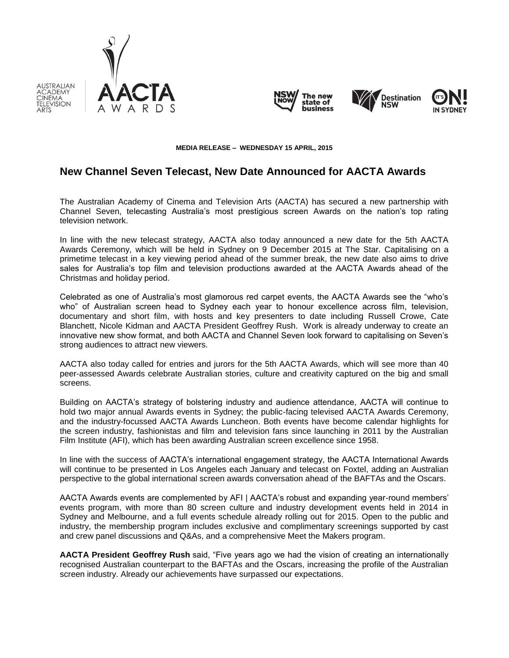

AUSTRALIAN CADEMY

CINEMA TELEVISION







#### **MEDIA RELEASE – WEDNESDAY 15 APRIL, 2015**

# **New Channel Seven Telecast, New Date Announced for AACTA Awards**

The Australian Academy of Cinema and Television Arts (AACTA) has secured a new partnership with Channel Seven, telecasting Australia's most prestigious screen Awards on the nation's top rating television network.

In line with the new telecast strategy, AACTA also today announced a new date for the 5th AACTA Awards Ceremony, which will be held in Sydney on 9 December 2015 at The Star. Capitalising on a primetime telecast in a key viewing period ahead of the summer break, the new date also aims to drive sales for Australia's top film and television productions awarded at the AACTA Awards ahead of the Christmas and holiday period.

Celebrated as one of Australia's most glamorous red carpet events, the AACTA Awards see the "who's who" of Australian screen head to Sydney each year to honour excellence across film, television, documentary and short film, with hosts and key presenters to date including Russell Crowe, Cate Blanchett, Nicole Kidman and AACTA President Geoffrey Rush. Work is already underway to create an innovative new show format, and both AACTA and Channel Seven look forward to capitalising on Seven's strong audiences to attract new viewers.

AACTA also today called for entries and jurors for the 5th AACTA Awards, which will see more than 40 peer-assessed Awards celebrate Australian stories, culture and creativity captured on the big and small screens.

Building on AACTA's strategy of bolstering industry and audience attendance, AACTA will continue to hold two major annual Awards events in Sydney; the public-facing televised AACTA Awards Ceremony, and the industry-focussed AACTA Awards Luncheon. Both events have become calendar highlights for the screen industry, fashionistas and film and television fans since launching in 2011 by the Australian Film Institute (AFI), which has been awarding Australian screen excellence since 1958.

In line with the success of AACTA's international engagement strategy, the AACTA International Awards will continue to be presented in Los Angeles each January and telecast on Foxtel, adding an Australian perspective to the global international screen awards conversation ahead of the BAFTAs and the Oscars.

AACTA Awards events are complemented by AFI | AACTA's robust and expanding year-round members' events program, with more than 80 screen culture and industry development events held in 2014 in Sydney and Melbourne, and a full events schedule already rolling out for 2015. Open to the public and industry, the membership program includes exclusive and complimentary screenings supported by cast and crew panel discussions and Q&As, and a comprehensive Meet the Makers program.

**AACTA President Geoffrey Rush** said, "Five years ago we had the vision of creating an internationally recognised Australian counterpart to the BAFTAs and the Oscars, increasing the profile of the Australian screen industry. Already our achievements have surpassed our expectations.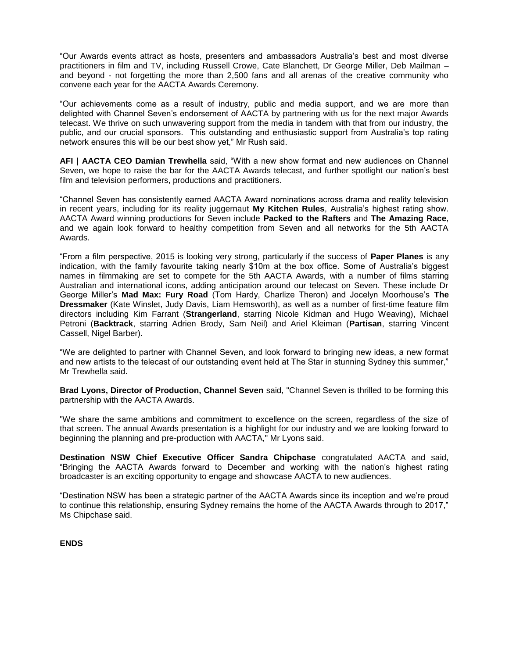"Our Awards events attract as hosts, presenters and ambassadors Australia's best and most diverse practitioners in film and TV, including Russell Crowe, Cate Blanchett, Dr George Miller, Deb Mailman – and beyond - not forgetting the more than 2,500 fans and all arenas of the creative community who convene each year for the AACTA Awards Ceremony.

"Our achievements come as a result of industry, public and media support, and we are more than delighted with Channel Seven's endorsement of AACTA by partnering with us for the next major Awards telecast. We thrive on such unwavering support from the media in tandem with that from our industry, the public, and our crucial sponsors. This outstanding and enthusiastic support from Australia's top rating network ensures this will be our best show yet," Mr Rush said.

**AFI | AACTA CEO Damian Trewhella** said, "With a new show format and new audiences on Channel Seven, we hope to raise the bar for the AACTA Awards telecast, and further spotlight our nation's best film and television performers, productions and practitioners.

"Channel Seven has consistently earned AACTA Award nominations across drama and reality television in recent years, including for its reality juggernaut **My Kitchen Rules**, Australia's highest rating show. AACTA Award winning productions for Seven include **Packed to the Rafters** and **The Amazing Race**, and we again look forward to healthy competition from Seven and all networks for the 5th AACTA Awards.

"From a film perspective, 2015 is looking very strong, particularly if the success of **Paper Planes** is any indication, with the family favourite taking nearly \$10m at the box office. Some of Australia's biggest names in filmmaking are set to compete for the 5th AACTA Awards, with a number of films starring Australian and international icons, adding anticipation around our telecast on Seven. These include Dr George Miller's **Mad Max: Fury Road** (Tom Hardy, Charlize Theron) and Jocelyn Moorhouse's **The Dressmaker** (Kate Winslet, Judy Davis, Liam Hemsworth), as well as a number of first-time feature film directors including Kim Farrant (**Strangerland**, starring Nicole Kidman and Hugo Weaving), Michael Petroni (**Backtrack**, starring Adrien Brody, Sam Neil) and Ariel Kleiman (**Partisan**, starring Vincent Cassell, Nigel Barber).

"We are delighted to partner with Channel Seven, and look forward to bringing new ideas, a new format and new artists to the telecast of our outstanding event held at The Star in stunning Sydney this summer," Mr Trewhella said.

**Brad Lyons, Director of Production, Channel Seven** said, "Channel Seven is thrilled to be forming this partnership with the AACTA Awards.

"We share the same ambitions and commitment to excellence on the screen, regardless of the size of that screen. The annual Awards presentation is a highlight for our industry and we are looking forward to beginning the planning and pre-production with AACTA," Mr Lyons said.

**Destination NSW Chief Executive Officer Sandra Chipchase** congratulated AACTA and said, "Bringing the AACTA Awards forward to December and working with the nation's highest rating broadcaster is an exciting opportunity to engage and showcase AACTA to new audiences.

"Destination NSW has been a strategic partner of the AACTA Awards since its inception and we're proud to continue this relationship, ensuring Sydney remains the home of the AACTA Awards through to 2017," Ms Chipchase said.

**ENDS**